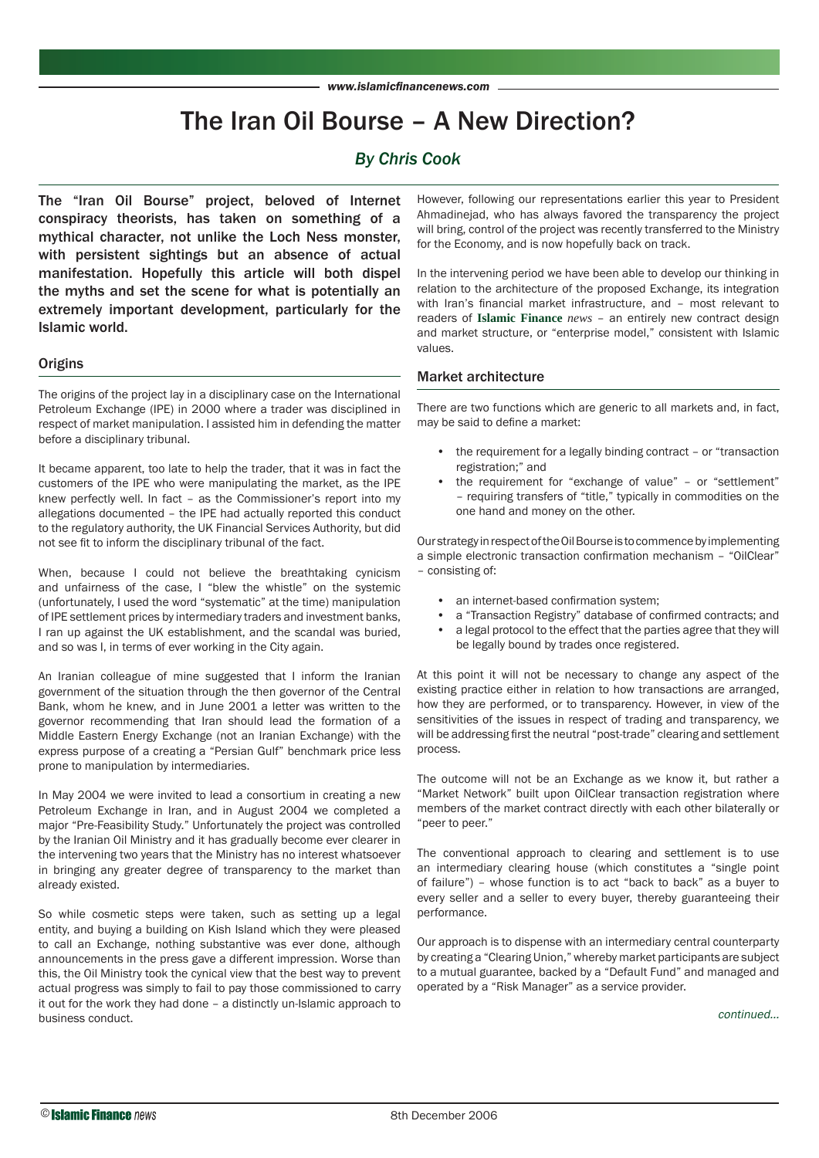*www.islamicfi nancenews.com*

# The Iran Oil Bourse – A New Direction?

# *By Chris Cook*

The "Iran Oil Bourse" project, beloved of Internet conspiracy theorists, has taken on something of a mythical character, not unlike the Loch Ness monster, with persistent sightings but an absence of actual manifestation. Hopefully this article will both dispel the myths and set the scene for what is potentially an extremely important development, particularly for the Islamic world.

### **Origins**

The origins of the project lay in a disciplinary case on the International Petroleum Exchange (IPE) in 2000 where a trader was disciplined in respect of market manipulation. I assisted him in defending the matter before a disciplinary tribunal.

It became apparent, too late to help the trader, that it was in fact the customers of the IPE who were manipulating the market, as the IPE knew perfectly well. In fact – as the Commissioner's report into my allegations documented – the IPE had actually reported this conduct to the regulatory authority, the UK Financial Services Authority, but did not see fit to inform the disciplinary tribunal of the fact.

When, because I could not believe the breathtaking cynicism and unfairness of the case, I "blew the whistle" on the systemic (unfortunately, I used the word "systematic" at the time) manipulation of IPE settlement prices by intermediary traders and investment banks, I ran up against the UK establishment, and the scandal was buried, and so was I, in terms of ever working in the City again.

An Iranian colleague of mine suggested that I inform the Iranian government of the situation through the then governor of the Central Bank, whom he knew, and in June 2001 a letter was written to the governor recommending that Iran should lead the formation of a Middle Eastern Energy Exchange (not an Iranian Exchange) with the express purpose of a creating a "Persian Gulf" benchmark price less prone to manipulation by intermediaries.

In May 2004 we were invited to lead a consortium in creating a new Petroleum Exchange in Iran, and in August 2004 we completed a major "Pre-Feasibility Study." Unfortunately the project was controlled by the Iranian Oil Ministry and it has gradually become ever clearer in the intervening two years that the Ministry has no interest whatsoever in bringing any greater degree of transparency to the market than already existed.

So while cosmetic steps were taken, such as setting up a legal entity, and buying a building on Kish Island which they were pleased to call an Exchange, nothing substantive was ever done, although announcements in the press gave a different impression. Worse than this, the Oil Ministry took the cynical view that the best way to prevent actual progress was simply to fail to pay those commissioned to carry it out for the work they had done – a distinctly un-Islamic approach to business conduct.

However, following our representations earlier this year to President Ahmadinejad, who has always favored the transparency the project will bring, control of the project was recently transferred to the Ministry for the Economy, and is now hopefully back on track.

In the intervening period we have been able to develop our thinking in relation to the architecture of the proposed Exchange, its integration with Iran's financial market infrastructure, and - most relevant to readers of **Islamic Finance** *news* – an entirely new contract design and market structure, or "enterprise model," consistent with Islamic values.

## Market architecture

There are two functions which are generic to all markets and, in fact, may be said to define a market:

- the requirement for a legally binding contract or "transaction" registration;" and
- the requirement for "exchange of value" or "settlement" – requiring transfers of "title," typically in commodities on the one hand and money on the other.

Our strategy in respect of the Oil Bourse is to commence by implementing a simple electronic transaction confirmation mechanism - "OilClear" – consisting of:

- an internet-based confirmation system;
- a "Transaction Registry" database of confirmed contracts; and
- a legal protocol to the effect that the parties agree that they will be legally bound by trades once registered.

At this point it will not be necessary to change any aspect of the existing practice either in relation to how transactions are arranged, how they are performed, or to transparency. However, in view of the sensitivities of the issues in respect of trading and transparency, we will be addressing first the neutral "post-trade" clearing and settlement process.

The outcome will not be an Exchange as we know it, but rather a "Market Network" built upon OilClear transaction registration where members of the market contract directly with each other bilaterally or "peer to peer."

The conventional approach to clearing and settlement is to use an intermediary clearing house (which constitutes a "single point of failure") – whose function is to act "back to back" as a buyer to every seller and a seller to every buyer, thereby guaranteeing their performance.

Our approach is to dispense with an intermediary central counterparty by creating a "Clearing Union," whereby market participants are subject to a mutual guarantee, backed by a "Default Fund" and managed and operated by a "Risk Manager" as a service provider.

continued...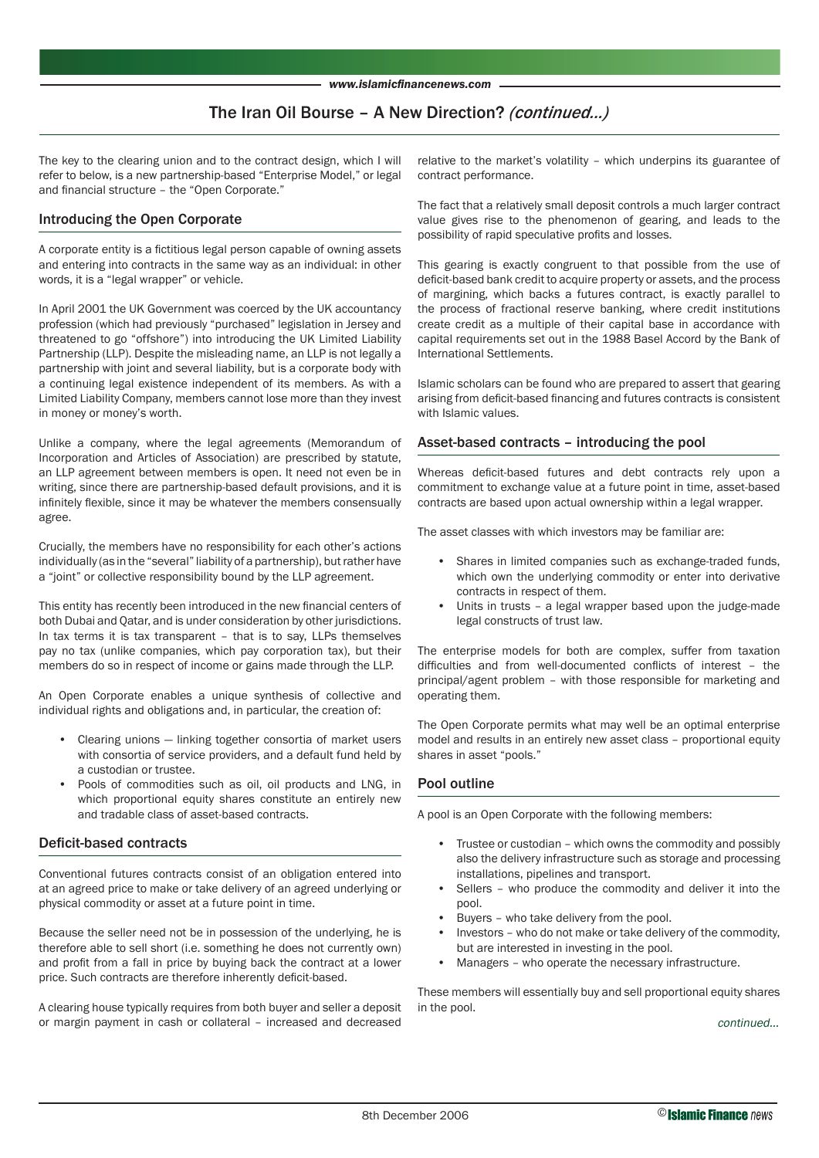# The Iran Oil Bourse – A New Direction? *(continued...)*

The key to the clearing union and to the contract design, which I will refer to below, is a new partnership-based "Enterprise Model," or legal and financial structure - the "Open Corporate."

## Introducing the Open Corporate

A corporate entity is a fictitious legal person capable of owning assets and entering into contracts in the same way as an individual: in other words, it is a "legal wrapper" or vehicle.

In April 2001 the UK Government was coerced by the UK accountancy profession (which had previously "purchased" legislation in Jersey and threatened to go "offshore") into introducing the UK Limited Liability Partnership (LLP). Despite the misleading name, an LLP is not legally a partnership with joint and several liability, but is a corporate body with a continuing legal existence independent of its members. As with a Limited Liability Company, members cannot lose more than they invest in money or money's worth.

Unlike a company, where the legal agreements (Memorandum of Incorporation and Articles of Association) are prescribed by statute, an LLP agreement between members is open. It need not even be in writing, since there are partnership-based default provisions, and it is infinitely flexible, since it may be whatever the members consensually agree.

Crucially, the members have no responsibility for each other's actions individually (as in the "several" liability of a partnership), but rather have a "joint" or collective responsibility bound by the LLP agreement.

This entity has recently been introduced in the new financial centers of both Dubai and Qatar, and is under consideration by other jurisdictions. In tax terms it is tax transparent – that is to say, LLPs themselves pay no tax (unlike companies, which pay corporation tax), but their members do so in respect of income or gains made through the LLP.

An Open Corporate enables a unique synthesis of collective and individual rights and obligations and, in particular, the creation of:

- Clearing unions linking together consortia of market users with consortia of service providers, and a default fund held by a custodian or trustee.
- Pools of commodities such as oil, oil products and LNG, in which proportional equity shares constitute an entirely new and tradable class of asset-based contracts.

## Deficit-based contracts

Conventional futures contracts consist of an obligation entered into at an agreed price to make or take delivery of an agreed underlying or physical commodity or asset at a future point in time.

Because the seller need not be in possession of the underlying, he is therefore able to sell short (i.e. something he does not currently own) and profit from a fall in price by buying back the contract at a lower price. Such contracts are therefore inherently deficit-based.

A clearing house typically requires from both buyer and seller a deposit or margin payment in cash or collateral – increased and decreased

relative to the market's volatility – which underpins its guarantee of contract performance.

The fact that a relatively small deposit controls a much larger contract value gives rise to the phenomenon of gearing, and leads to the possibility of rapid speculative profits and losses.

This gearing is exactly congruent to that possible from the use of deficit-based bank credit to acquire property or assets, and the process of margining, which backs a futures contract, is exactly parallel to the process of fractional reserve banking, where credit institutions create credit as a multiple of their capital base in accordance with capital requirements set out in the 1988 Basel Accord by the Bank of International Settlements.

Islamic scholars can be found who are prepared to assert that gearing arising from deficit-based financing and futures contracts is consistent with Islamic values.

# Asset-based contracts – introducing the pool

Whereas deficit-based futures and debt contracts rely upon a commitment to exchange value at a future point in time, asset-based contracts are based upon actual ownership within a legal wrapper.

The asset classes with which investors may be familiar are:

- Shares in limited companies such as exchange-traded funds, which own the underlying commodity or enter into derivative contracts in respect of them.
- Units in trusts a legal wrapper based upon the judge-made legal constructs of trust law.

The enterprise models for both are complex, suffer from taxation difficulties and from well-documented conflicts of interest - the principal/agent problem – with those responsible for marketing and operating them.

The Open Corporate permits what may well be an optimal enterprise model and results in an entirely new asset class – proportional equity shares in asset "pools."

# Pool outline

A pool is an Open Corporate with the following members:

- Trustee or custodian which owns the commodity and possibly also the delivery infrastructure such as storage and processing installations, pipelines and transport.
- Sellers who produce the commodity and deliver it into the pool.
- Buyers who take delivery from the pool.
- Investors who do not make or take delivery of the commodity, but are interested in investing in the pool.
- Managers who operate the necessary infrastructure.

These members will essentially buy and sell proportional equity shares in the pool.

continued...